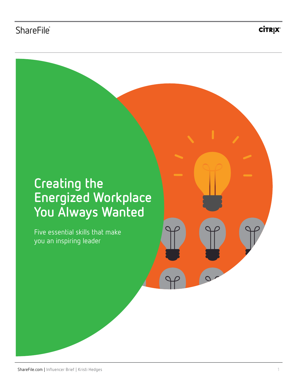**CİTRIX®** 

## **Creating the Energized Workplace You Always Wanted**

Five essential skills that make you an inspiring leader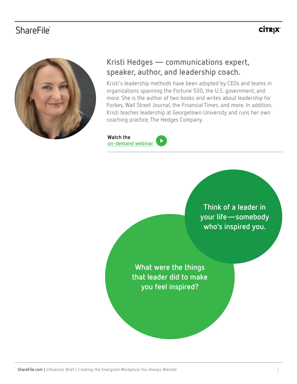## ShareFile**®**

## **CİTRIX®**



### **Kristi Hedges — communications expert, speaker, author, and leadership coach.**

Kristi's leadership methods have been adopted by CEOs and teams in organizations spanning the Fortune 500, the U.S. government, and more. She is the author of two books and writes about leadership for Forbes, Wall Street Journal, the Financial Times, and more. In addition, Kristi teaches leadership at Georgetown University and runs her own coaching practice, The Hedges Company.

### **Watch the**



**Think of a leader in your life—somebody who's inspired you.**

**What were the things that leader did to make you feel inspired?**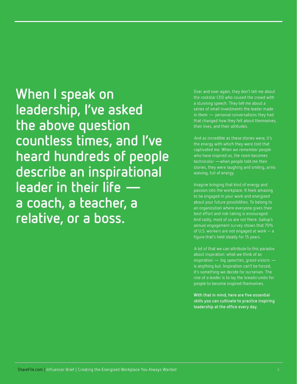**When I speak on leadership, I've asked the above question countless times, and I've heard hundreds of people describe an inspirational leader in their life a coach, a teacher, a relative, or a boss.** 

Over and over again, they don't tell me about the rockstar CEO who roused the crowd with a stunning speech. They tell me about a series of small investments the leader made in them — personal conversations they had that changed how they felt about themselves, their lives, and their attitudes.

 And as incredible as these stories were, it's the energy with which they were told that captivated me. When we remember people who have inspired us, the room becomes technicolor —when people told me their stories, they were laughing and smiling, arms waiving, full of energy.

Imagine bringing that kind of energy and passion into the workplace. It feels amazing to be engaged in your work and energized about your future possibilities. To belong to an organization where everyone gives their best effort and risk-taking is encouraged. And sadly, most of us are not there. Gallup's annual engagement survey shows that 70% of U.S. workers are not engaged at work – a figure that's held steady for 15 years.

 A lot of that we can attribute to this paradox about inspiration: what we think of as inspiration — big speeches, grand visions is anything but. Inspiration can't be forced, it's something we decide for ourselves. The role of a leader is to lay the breadcrumbs for people to become inspired themselves.

**With that in mind, here are five essential skills you can cultivate to practice inspiring leadership at the office every day.**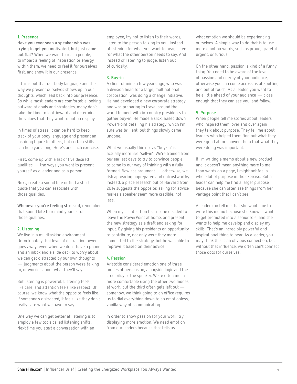#### **1. Presence**

**Have you ever seen a speaker who was trying to get you motivated, but just came out flat?** When we want to reach people, to impart a feeling of inspiration or energy within them, we need to feel it for ourselves first, and show it in our presence.

It turns out that our body language and the way we present ourselves shows up in our thoughts, which lead back into our presence. So while most leaders are comfortable looking outward at goals and strategies, many don't take the time to look inward and determine the values that they want to put on display.

In times of stress, it can be hard to keep track of your body language and present an inspiring figure to others, but certain skills can help you along. Here's one such exercise:

**First,** come up with a list of five desired qualities — the ways you want to present yourself as a leader and as a person.

**Next,** create a sound bite or find a short quote that you can associate with those qualities.

**Whenever you're feeling stressed,** remember that sound bite to remind yourself of those qualities.

#### **2. Listening**

We live in a multitasking environment. Unfortunately that level of distraction never goes away: even when we don't have a phone and an inbox and a slide deck to worry about, we can get distracted by our own thoughts — judgments about the person we're talking to, or worries about what they'll say.

But listening is powerful. Listening feels like care, and attention feels like respect. Of course, we know what the opposite feels like. If someone's distracted, it feels like they don't really care what we have to say.

One way we can get better at listening is to employ a few tools called listening shifts. Next time you start a conversation with an

employee, try not to listen to their words, listen to the person talking to you. Instead of listening for what you want to hear, listen for what the other person needs to say. And instead of listening to judge, listen out of curiosity.

#### **3. Buy-in**

A client of mine a few years ago, who was a division head for a large, multinational corporation, was doing a change initiative. He had developed a new corporate strategy and was preparing to travel around the world to meet with in-country presidents to gather buy-in. He made a slick, nailed down PowerPoint detailing his strategy, which I'm sure was brilliant, but things slowly came undone.

What we usually think of as "buy-in" is actually more like "sell-in". We're trained from our earliest days to try to convince people to come to our way of thinking with a fully formed, flawless argument — otherwise, we risk appearing unprepared and untrustworthy. Instead, a piece research out of Harvard from 2014 suggests the opposite: asking for advice makes a speaker seem more credible, not less.

When my client left on his trip, he decided to leave the PowerPoint at home, and present the new strategy as a draft and asking for input. By giving his presidents an opportunity to contribute, not only were they more committed to the strategy, but he was able to improve it based on their advice.

#### **4. Passion**

Aristotle considered emotion one of three modes of persuasion, alongside logic and the credibility of the speaker. We're often much more comfortable using the other two modes at work, but the third often gets left out somehow, we think going to an office requires us to dial everything down to an emotionless, vanilla way of communicating.

In order to show passion for your work, try displaying more emotion. We need emotion from our leaders because that tells us

what emotion we should be experiencing ourselves. A simple way to do that is to use more emotion words, such as proud, grateful, urgent, or furious.

On the other hand, passion is kind of a funny thing. You need to be aware of the level of passion and energy of your audience, otherwise you can come across as off-putting and out of touch. As a leader, you want to be a little ahead of your audience — close enough that they can see you, and follow.

#### **5. Purpose**

When people tell me stories about leaders who inspired them, over and over again they talk about purpose. They tell me about leaders who helped them find out what they were good at, or showed them that what they were doing was important.

If I'm writing a memo about a new product and it doesn't mean anything more to me than words on a page, I might not feel a whole lot of purpose in the exercise. But a leader can help me find a larger purpose because she can often see things from her vantage point that I can't see.

A leader can tell me that she wants me to write this memo because she knows I want to get promoted into a senior role, and she wants to help me develop and display my skills. That's an incredibly powerful and inspirational thing to hear. As a leader, you may think this is an obvious connection, but without that influence, we often can't connect those dots for ourselves.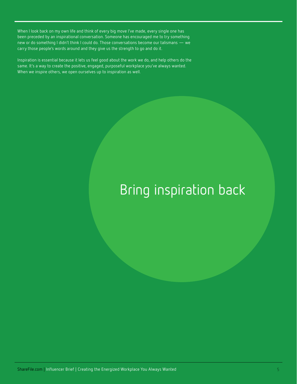When I look back on my own life and think of every big move I've made, every single one has been preceded by an inspirational conversation. Someone has encouraged me to try something new or do something I didn't think I could do. Those conversations become our talismans — we carry those people's words around and they give us the strength to go and do it.

Inspiration is essential because it lets us feel good about the work we do, and help others do the same. It's a way to create the positive, engaged, purposeful workplace you've always wanted. When we inspire others, we open ourselves up to inspiration as well.

# Bring inspiration back